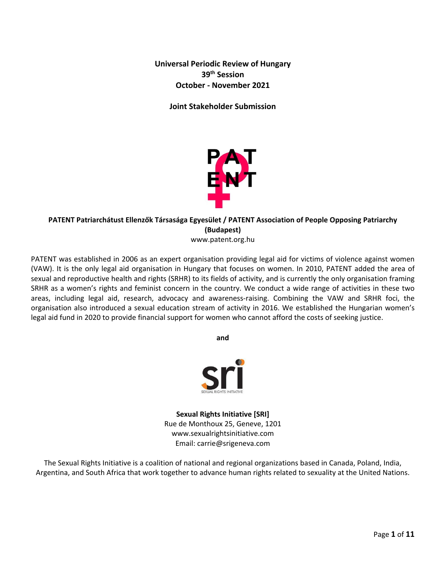**Universal Periodic Review of Hungary 39th Session October - November 2021**

**Joint Stakeholder Submission**



# **PATENT Patriarchátust Ellenzők Társasága Egyesület / PATENT Association of People Opposing Patriarchy (Budapest)**

www.patent.org.hu

PATENT was established in 2006 as an expert organisation providing legal aid for victims of violence against women (VAW). It is the only legal aid organisation in Hungary that focuses on women. In 2010, PATENT added the area of sexual and reproductive health and rights (SRHR) to its fields of activity, and is currently the only organisation framing SRHR as <sup>a</sup> women'<sup>s</sup> rights and feminist concern in the country. We conduct <sup>a</sup> wide range of activities in these two areas, including legal aid, research, advocacy and awareness-raising. Combining the VAW and SRHR foci, the organisation also introduced <sup>a</sup> sexual education stream of activity in 2016. We established the Hungarian women'<sup>s</sup> legal aid fund in 2020 to provide financial support for women who cannot afford the costs of seeking justice.

**and**



**Sexual Rights Initiative [SRI]** Rue de Monthoux 25, Geneve, 1201 www.sexualrightsinitiative.com Email: carrie@srigeneva.com

The Sexual Rights Initiative is <sup>a</sup> coalition of national and regional organizations based in Canada, Poland, India, Argentina, and South Africa that work together to advance human rights related to sexuality at the United Nations.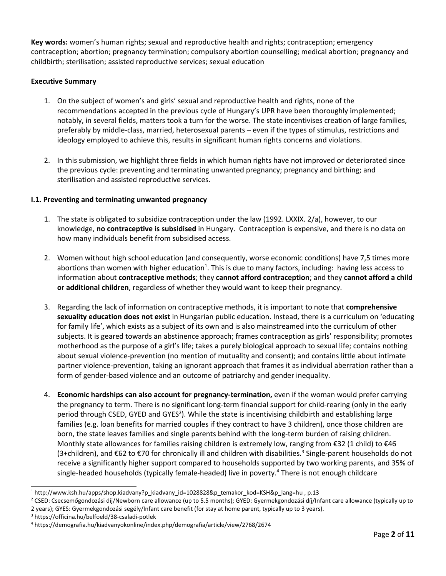**Key words:** women'<sup>s</sup> human rights; sexual and reproductive health and rights; contraception; emergency contraception; abortion; pregnancy termination; compulsory abortion counselling; medical abortion; pregnancy and childbirth; sterilisation; assisted reproductive services; sexual education

### **Executive Summary**

- 1. On the subject of women'<sup>s</sup> and girls' sexual and reproductive health and rights, none of the recommendations accepted in the previous cycle of Hungary'<sup>s</sup> UPR have been thoroughly implemented; notably, in several fields, matters took <sup>a</sup> turn for the worse. The state incentivises creation of large families, preferably by middle-class, married, heterosexual parents – even if the types of stimulus, restrictions and ideology employed to achieve this, results in significant human rights concerns and violations.
- 2. In this submission, we highlight three fields in which human rights have not improved or deteriorated since the previous cycle: preventing and terminating unwanted pregnancy; pregnancy and birthing; and sterilisation and assisted reproductive services.

## **I.1. Preventing and terminating unwanted pregnancy**

- 1. The state is obligated to subsidize contraception under the law (1992. LXXIX. 2/a), however, to our knowledge, **no contraceptive is subsidised** in Hungary. Contraception is expensive, and there is no data on how many individuals benefit from subsidised access.
- 2. Women without high school education (and consequently, worse economic conditions) have 7,5 times more abortions than women with higher education<sup>1</sup>. This is due to many factors, including: having less access to information about **contraceptive methods**; they **cannot afford contraception**; and they **cannot afford <sup>a</sup> child or additional children**, regardless of whether they would want to keep their pregnancy.
- 3. Regarding the lack of information on contraceptive methods, it is important to note that **comprehensive sexuality education does not exist** in Hungarian public education. Instead, there is <sup>a</sup> curriculum on 'educating for family life', which exists as <sup>a</sup> subject of its own and is also mainstreamed into the curriculum of other subjects. It is geared towards an abstinence approach; frames contraception as girls' responsibility; promotes motherhood as the purpose of <sup>a</sup> girl'<sup>s</sup> life; takes <sup>a</sup> purely biological approach to sexual life; contains nothing about sexual violence-prevention (no mention of mutuality and consent); and contains little about intimate partner violence-prevention, taking an ignorant approach that frames it as individual aberration rather than <sup>a</sup> form of gender-based violence and an outcome of patriarchy and gender inequality.
- 4. **Economic hardships can also account for pregnancy-termination,** even if the woman would prefer carrying the pregnancy to term. There is no significant long-term financial support for child-rearing (only in the early period through CSED, GYED and GYES<sup>2</sup>). While the state is incentivising childbirth and establishing large families (e.g. loan benefits for married couples if they contract to have 3 children), once those children are born, the state leaves families and single parents behind with the long-term burden of raising children. Monthly state allowances for families raising children is extremely low, ranging from €32 (1 child) to €46 (3+children), and €62 to €70 for chronically ill and children with disabilities.<sup>3</sup> Single-parent households do not receive <sup>a</sup> significantly higher support compared to households supported by two working parents, and 35% of single-headed households (typically female-headed) live in poverty. 4 There is not enough childcare

<sup>1</sup> [http://www.ksh.hu/apps/shop.kiadvany?p\\_kiadvany\\_id=1028828&p\\_temakor\\_kod=KSH&p\\_lang=h](http://www.ksh.hu/apps/shop.kiadvany?p_kiadvany_id=1028828&p_temakor_kod=KSH&p_lang=hu)u , p.13

<sup>&</sup>lt;sup>2</sup> CSED: Csecsemőgondozási díj/Newborn care allowance (up to 5.5 months); GYED: Gyermekgondozási díj/Infant care allowance (typically up to 2 years); GYES: Gyermekgondozási segély/Infant care benefit (for stay at home parent, typically up to 3 years).

<sup>3</sup> <https://officina.hu/belfoeld/38-csaladi-potlek>

<sup>4</sup> <https://demografia.hu/kiadvanyokonline/index.php/demografia/article/view/2768/2674>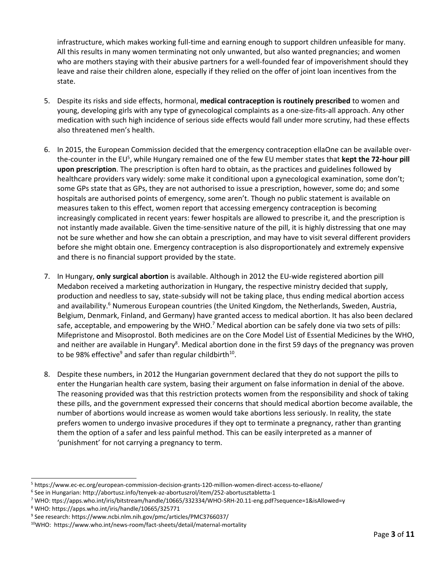infrastructure, which makes working full-time and earning enough to support children unfeasible for many. All this results in many women terminating not only unwanted, but also wanted pregnancies; and women who are mothers staying with their abusive partners for <sup>a</sup> well-founded fear of impoverishment should they leave and raise their children alone, especially if they relied on the offer of joint loan incentives from the state.

- 5. Despite its risks and side effects, hormonal, **medical contraception is routinely prescribed** to women and young, developing girls with any type of gynecological complaints as <sup>a</sup> one-size-fits-all approach. Any other medication with such high incidence of serious side effects would fall under more scrutiny, had these effects also threatened men'<sup>s</sup> health.
- 6. In 2015, the European Commission decided that the emergency contraception ellaOne can be available overthe-counter in the EU<sup>5</sup>, while Hungary remained one of the few EU member states that **kept the 72-hour pill upon prescription**. The prescription is often hard to obtain, as the practices and guidelines followed by healthcare providers vary widely: some make it conditional upon <sup>a</sup> gynecological examination, some don't; some GPs state that as GPs, they are not authorised to issue <sup>a</sup> prescription, however, some do; and some hospitals are authorised points of emergency, some aren't. Though no public statement is available on measures taken to this effect, women report that accessing emergency contraception is becoming increasingly complicated in recent years: fewer hospitals are allowed to prescribe it, and the prescription is not instantly made available. Given the time-sensitive nature of the pill, it is highly distressing that one may not be sure whether and how she can obtain <sup>a</sup> prescription, and may have to visit several different providers before she might obtain one. Emergency contraception is also disproportionately and extremely expensive and there is no financial support provided by the state.
- 7. In Hungary, **only surgical abortion** is available. Although in 2012 the EU-wide registered abortion pill Medabon received <sup>a</sup> marketing authorization in Hungary, the respective ministry decided that supply, production and needless to say, state-subsidy will not be taking place, thus ending medical abortion access and availability.<sup>6</sup> Numerous European countries (the United Kingdom, the Netherlands, Sweden, Austria, Belgium, Denmark, Finland, and Germany) have granted access to medical abortion. It has also been declared safe, acceptable, and empowering by the WHO.<sup>7</sup> Medical abortion can be safely done via two sets of pills: Mifepristone and Misoprostol. Both medicines are on the Core Model List of Essential Medicines by the WHO, and neither are available in Hungary<sup>8</sup>. Medical abortion done in the first 59 days of the pregnancy was proven to be 98% effective<sup>9</sup> and safer than regular childbirth<sup>10</sup>.
- 8. Despite these numbers, in 2012 the Hungarian government declared that they do not support the pills to enter the Hungarian health care system, basing their argument on false information in denial of the above. The reasoning provided was that this restriction protects women from the responsibility and shock of taking these pills, and the government expressed their concerns that should medical abortion become available, the number of abortions would increase as women would take abortions less seriously. In reality, the state prefers women to undergo invasive procedures if they opt to terminate <sup>a</sup> pregnancy, rather than granting them the option of <sup>a</sup> safer and less painful method. This can be easily interpreted as <sup>a</sup> manner of 'punishment' for not carrying <sup>a</sup> pregnancy to term.

<sup>5</sup> <https://www.ec-ec.org/european-commission-decision-grants-120-million-women-direct-access-to-ellaone/>

<sup>6</sup> See in Hungarian: <http://abortusz.info/tenyek-az-abortuszrol/item/252-abortusztabletta-1>

<sup>7</sup> WHO: [ttps://apps.who.int/iris/bitstream/handle/10665/332334/WHO-SRH-20.11-eng.pdf?sequence=1&isAllowed=y](https://apps.who.int/iris/bitstream/handle/10665/332334/WHO-SRH-20.11-eng.pdf?sequence=1&isAllowed=y)

<sup>8</sup> WHO: <https://apps.who.int/iris/handle/10665/325771>

<sup>9</sup> See research: <https://www.ncbi.nlm.nih.gov/pmc/articles/PMC3766037/>

<sup>&</sup>lt;sup>10</sup>WHO: <https://www.who.int/news-room/fact-sheets/detail/maternal-mortality>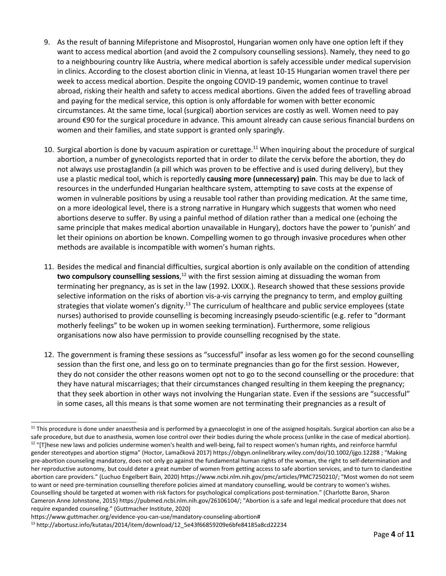- 9. As the result of banning Mifepristone and Misoprostol, Hungarian women only have one option left if they want to access medical abortion (and avoid the 2 compulsory counselling sessions). Namely, they need to go to <sup>a</sup> neighbouring country like Austria, where medical abortion is safely accessible under medical supervision in clinics. According to the closest abortion clinic in Vienna, at least 10-15 Hungarian women travel there per week to access medical abortion. Despite the ongoing COVID-19 pandemic, women continue to travel abroad, risking their health and safety to access medical abortions. Given the added fees of travelling abroad and paying for the medical service, this option is only affordable for women with better economic circumstances. At the same time, local (surgical) abortion services are costly as well. Women need to pay around €90 for the surgical procedure in advance. This amount already can cause serious financial burdens on women and their families, and state support is granted only sparingly.
- 10. Surgical abortion is done by vacuum aspiration or curettage.<sup>11</sup> When inquiring about the procedure of surgical abortion, <sup>a</sup> number of gynecologists reported that in order to dilate the cervix before the abortion, they do not always use prostaglandin (a pill which was proven to be effective and is used during delivery), but they use <sup>a</sup> plastic medical tool, which is reportedly **causing more (unnecessary) pain**. This may be due to lack of resources in the underfunded Hungarian healthcare system, attempting to save costs at the expense of women in vulnerable positions by using <sup>a</sup> reusable tool rather than providing medication. At the same time, on <sup>a</sup> more ideological level, there is <sup>a</sup> strong narrative in Hungary which suggests that women who need abortions deserve to suffer. By using <sup>a</sup> painful method of dilation rather than <sup>a</sup> medical one (echoing the same principle that makes medical abortion unavailable in Hungary), doctors have the power to 'punish' and let their opinions on abortion be known. Compelling women to go through invasive procedures when other methods are available is incompatible with women'<sup>s</sup> human rights.
- 11. Besides the medical and financial difficulties, surgical abortion is only available on the condition of attending **two compulsory counselling sessions,**<sup>12</sup> with the first session aiming at dissuading the woman from terminating her pregnancy, as is set in the law (1992. LXXIX.). Research showed that these sessions provide selective information on the risks of abortion vis-a-vis carrying the pregnancy to term, and employ guilting strategies that violate women's dignity.<sup>13</sup> The curriculum of healthcare and public service employees (state nurses) authorised to provide counselling is becoming increasingly pseudo-scientific (e.g. refer to "dormant motherly feelings" to be woken up in women seeking termination). Furthermore, some religious organisations now also have permission to provide counselling recognised by the state.
- 12. The government is framing these sessions as "successful" insofar as less women go for the second counselling session than the first one, and less go on to terminate pregnancies than go for the first session. However, they do not consider the other reasons women opt not to go to the second counselling or the procedure: that they have natural miscarriages; that their circumstances changed resulting in them keeping the pregnancy; that they seek abortion in other ways not involving the Hungarian state. Even if the sessions are "successful" in some cases, all this means is that some women are not terminating their pregnancies as <sup>a</sup> result of

 $^{11}$  This procedure is done under anaesthesia and is performed by a gynaecologist in one of the assigned hospitals. Surgical abortion can also be a safe procedure, but due to anasthesia, women lose control over their bodies during the whole process (unlike in the case of medical abortion).  $^{12}$  "[T]hese new laws and policies undermine women's health and well-being, fail to respect women's human rights, and reinforce harmful gender stereotypes and abortion stigma" (Hoctor, Lamačková 2017) https://obgyn.onlinelibrary.wiley.com/doi/10.1002/ijgo.12288 ; "Making pre-abortion counseling mandatory, does not only go against the fundamental human rights of the woman, the right to self-determination and her reproductive autonomy, but could deter <sup>a</sup> great number of women from getting access to safe abortion services, and to turn to clandestine abortion care providers." (Luchuo Engelbert Bain, 2020) <https://www.ncbi.nlm.nih.gov/pmc/articles/PMC7250210/>; "Most women do not seem to want or need pre-termination counselling therefore policies aimed at mandatory counselling, would be contrary to women's wishes.

Counselling should be targeted at women with risk factors for psychological complications post-termination." (Charlotte Baron, Sharon Cameron Anne Johnstone, 2015) <https://pubmed.ncbi.nlm.nih.gov/26106104/>; "Abortion is <sup>a</sup> safe and legal medical procedure that does not require expanded counseling." (Guttmacher Institute, 2020)

[https://www.guttmacher.org/evidence-you-can-use/mandatory-counseling-abortion#](https://www.guttmacher.org/evidence-you-can-use/mandatory-counseling-abortion)

<sup>13</sup> [http://abortusz.info/kutatas/2014/item/download/12\\_5e43f66859209e6bfe84185a8cd22234](http://abortusz.info/kutatas/2014/item/download/12_5e43f66859209e6bfe84185a8cd22234)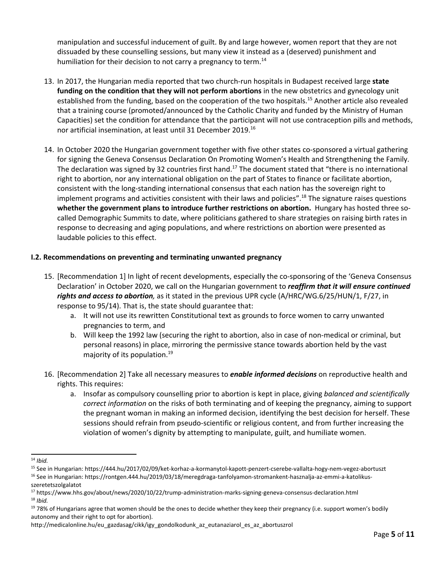manipulation and successful inducement of guilt. By and large however, women report that they are not dissuaded by these counselling sessions, but many view it instead as <sup>a</sup> (deserved) punishment and humiliation for their decision to not carry a pregnancy to term.<sup>14</sup>

- 13. In 2017, the Hungarian media reported that two church-run hospitals in Budapest received large **state funding on the condition that they will not perform abortions** in the new obstetrics and gynecology unit established from the funding, based on the cooperation of the two hospitals. 15 Another article also revealed that <sup>a</sup> training course (promoted/announced by the Catholic Charity and funded by the Ministry of Human Capacities) set the condition for attendance that the participant will not use contraception pills and methods, nor artificial insemination, at least until 31 December 2019. 16
- 14. In October 2020 the Hungarian government together with five other states co-sponsored <sup>a</sup> virtual gathering for signing the Geneva Consensus Declaration On Promoting Women'<sup>s</sup> Health and Strengthening the Family. The declaration was signed by 32 countries first hand.<sup>17</sup> The document stated that "there is no international right to abortion, nor any international obligation on the part of States to finance or facilitate abortion, consistent with the long-standing international consensus that each nation has the sovereign right to implement programs and activities consistent with their laws and policies".<sup>18</sup> The signature raises questions **whether the government plans to introduce further restrictions on abortion.** Hungary has hosted three socalled Demographic Summits to date, where politicians gathered to share strategies on raising birth rates in response to decreasing and aging populations, and where restrictions on abortion were presented as laudable policies to this effect.

### **I.2. Recommendations on preventing and terminating unwanted pregnancy**

- 15. [Recommendation 1] In light of recent developments, especially the co-sponsoring of the 'Geneva Consensus Declaration' in October 2020, we call on the Hungarian government to *reaffirm that it will ensure continued rights and access to abortion,* as it stated in the previous UPR cycle (A/HRC/WG.6/25/HUN/1, F/27, in response to 95/14). That is, the state should guarantee that:
	- a. It will not use its rewritten Constitutional text as grounds to force women to carry unwanted pregnancies to term, and
	- b. Will keep the 1992 law (securing the right to abortion, also in case of non-medical or criminal, but personal reasons) in place, mirroring the permissive stance towards abortion held by the vast majority of its population. 19
- 16. [Recommendation 2] Take all necessary measures to *enable informed decisions* on reproductive health and rights. This requires:
	- a. Insofar as compulsory counselling prior to abortion is kept in place, giving *balanced and scientifically correct information* on the risks of both terminating and of keeping the pregnancy, aiming to support the pregnant woman in making an informed decision, identifying the best decision for herself. These sessions should refrain from pseudo-scientific or religious content, and from further increasing the violation of women'<sup>s</sup> dignity by attempting to manipulate, guilt, and humiliate women.

<sup>14</sup> *Ibid.*

<sup>&</sup>lt;sup>15</sup> See in Hungarian: <https://444.hu/2017/02/09/ket-korhaz-a-kormanytol-kapott-penzert-cserebe-vallalta-hogy-nem-vegez-abortuszt>

<sup>&</sup>lt;sup>16</sup> See in Hungarian: [https://rontgen.444.hu/2019/03/18/meregdraga-tanfolyamon-stromankent-hasznalja-az-emmi-a-katolikus](https://rontgen.444.hu/2019/03/18/meregdraga-tanfolyamon-stromankent-hasznalja-az-emmi-a-katolikus-szeretetszolgalatot)[szeretetszolgalatot](https://rontgen.444.hu/2019/03/18/meregdraga-tanfolyamon-stromankent-hasznalja-az-emmi-a-katolikus-szeretetszolgalatot)

<sup>&</sup>lt;sup>17</sup> <https://www.hhs.gov/about/news/2020/10/22/trump-administration-marks-signing-geneva-consensus-declaration.html> 18 *Ibid.*

<sup>&</sup>lt;sup>19</sup> 78% of Hungarians agree that women should be the ones to decide whether they keep their pregnancy (i.e. support women's bodily autonomy and their right to opt for abortion).

http://medicalonline.hu/eu\_gazdasag/cikk/igy\_gondolkodunk\_az\_eutanaziarol\_es\_az\_abortuszrol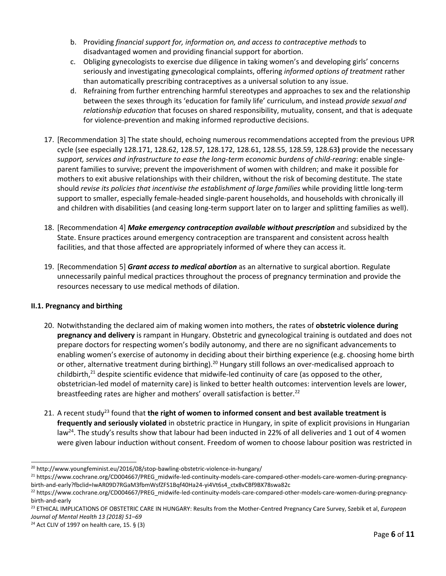- b. Providing *financial support for, information on, and access to contraceptive methods* to disadvantaged women and providing financial support for abortion.
- c. Obliging gynecologists to exercise due diligence in taking women'<sup>s</sup> and developing girls' concerns seriously and investigating gynecological complaints, offering *informed options of treatment* rather than automatically prescribing contraceptives as <sup>a</sup> universal solution to any issue.
- d. Refraining from further entrenching harmful stereotypes and approaches to sex and the relationship between the sexes through its 'education for family life' curriculum, and instead *provide sexual and relationship education* that focuses on shared responsibility, mutuality, consent, and that is adequate for violence-prevention and making informed reproductive decisions.
- 17. [Recommendation 3] The state should, echoing numerous recommendations accepted from the previous UPR cycle (see especially 128.171, 128.62, 128.57, 128.172, 128.61, 128.55, 128.59, 128.63**)** provide the necessary *support, services and infrastructure to ease the long-term economic burdens of child-rearing*: enable singleparent families to survive; prevent the impoverishment of women with children; and make it possible for mothers to exit abusive relationships with their children, without the risk of becoming destitute. The state should *revise its policies that incentivise the establishment of large families* while providing little long-term support to smaller, especially female-headed single-parent households, and households with chronically ill and children with disabilities (and ceasing long-term support later on to larger and splitting families as well).
- 18. [Recommendation 4] *Make emergency contraception available without prescription* and subsidized by the State. Ensure practices around emergency contraception are transparent and consistent across health facilities, and that those affected are appropriately informed of where they can access it.
- 19. [Recommendation 5] *Grant access to medical abortion* as an alternative to surgical abortion. Regulate unnecessarily painful medical practices throughout the process of pregnancy termination and provide the resources necessary to use medical methods of dilation.

# **II.1. Pregnancy and birthing**

- 20. Notwithstanding the declared aim of making women into mothers, the rates of **obstetric violence during pregnancy and delivery** is rampant in Hungary. Obstetric and gynecological training is outdated and does not prepare doctors for respecting women'<sup>s</sup> bodily autonomy, and there are no significant advancements to enabling women'<sup>s</sup> exercise of autonomy in deciding about their birthing experience (e.g. choosing home birth or other, alternative treatment during birthing).<sup>20</sup> Hungary still follows an over-medicalised approach to childbirth,<sup>21</sup> despite scientific evidence that midwife-led continuity of care (as opposed to the other, obstetrician-led model of maternity care) is linked to better health outcomes: intervention levels are lower, breastfeeding rates are higher and mothers' overall satisfaction is better.<sup>22</sup>
- 21. A recent study 23 found that **the right of women to informed consent and best available treatment is frequently and seriously violated** in obstetric practice in Hungary, in spite of explicit provisions in Hungarian law<sup>24</sup>. The study's results show that labour had been inducted in 22% of all deliveries and 1 out of 4 women were given labour induction without consent. Freedom of women to choose labour position was restricted in

<sup>&</sup>lt;sup>20</sup> <http://www.youngfeminist.eu/2016/08/stop-bawling-obstetric-violence-in-hungary/>

<sup>21</sup> [https://www.cochrane.org/CD004667/PREG\\_midwife-led-continuity-models-care-compared-other-models-care-women-during-pregnancy](https://www.cochrane.org/CD004667/PREG_midwife-led-continuity-models-care-compared-other-models-care-women-during-pregnancy-birth-and-early?fbclid=IwAR09D7RGaM3fbmWsfZFS1Bqf40Ha24-yi4Vt6s4_ctx8vCBf9BX78swa82c)[birth-and-early?fbclid=IwAR09D7RGaM3fbmWsfZFS1Bqf40Ha24-yi4Vt6s4\\_ctx8vCBf9BX78swa82c](https://www.cochrane.org/CD004667/PREG_midwife-led-continuity-models-care-compared-other-models-care-women-during-pregnancy-birth-and-early?fbclid=IwAR09D7RGaM3fbmWsfZFS1Bqf40Ha24-yi4Vt6s4_ctx8vCBf9BX78swa82c)

<sup>&</sup>lt;sup>22</sup> [https://www.cochrane.org/CD004667/PREG\\_midwife-led-continuity-models-care-compared-other-models-care-women-during-pregnancy](https://www.cochrane.org/CD004667/PREG_midwife-led-continuity-models-care-compared-other-models-care-women-during-pregnancy-birth-and-early)[birth-and-early](https://www.cochrane.org/CD004667/PREG_midwife-led-continuity-models-care-compared-other-models-care-women-during-pregnancy-birth-and-early)

<sup>23</sup> ETHICAL IMPLICATIONS OF OBSTETRIC CARE IN HUNGARY: Results from the Mother-Centred Pregnancy Care Survey, Szebik et al, *European Journal of Mental Health 13 (2018) 51–69*

<sup>&</sup>lt;sup>24</sup> Act CLIV of 1997 on health care, 15. § (3)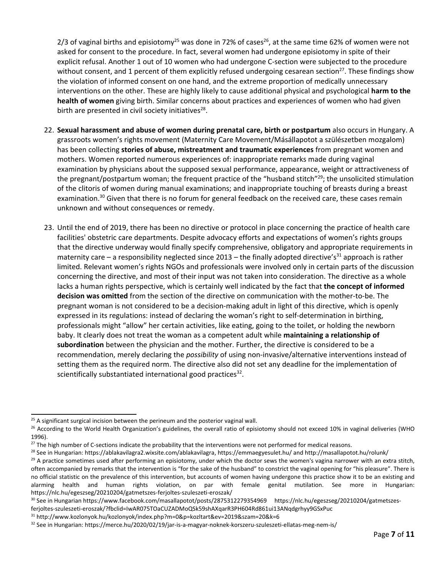2/3 of vaginal births and episiotomy<sup>25</sup> was done in 72% of cases<sup>26</sup>, at the same time 62% of women were not asked for consent to the procedure. In fact, several women had undergone episiotomy in spite of their explicit refusal. Another 1 out of 10 women who had undergone C-section were subjected to the procedure without consent, and 1 percent of them explicitly refused undergoing cesarean section<sup>27</sup>. These findings show the violation of informed consent on one hand, and the extreme proportion of medically unnecessary interventions on the other. These are highly likely to cause additional physical and psychological **harm to the health of women** giving birth. Similar concerns about practices and experiences of women who had given birth are presented in civil society initiatives<sup>28</sup>.

- 22. **Sexual harassment and abuse of women during prenatal care, birth or postpartum** also occurs in Hungary. A grassroots women'<sup>s</sup> rights movement (Maternity Care Movement/Másállapotot <sup>a</sup> szülészetben mozgalom) has been collecting **stories of abuse, mistreatment and traumatic experiences** from pregnant women and mothers. Women reported numerous experiences of: inappropriate remarks made during vaginal examination by physicians about the supposed sexual performance, appearance, weight or attractiveness of the pregnant/postpartum woman; the frequent practice of the "husband stitch"<sup>29</sup>; the unsolicited stimulation of the clitoris of women during manual examinations; and inappropriate touching of breasts during <sup>a</sup> breast examination.<sup>30</sup> Given that there is no forum for general feedback on the received care, these cases remain unknown and without consequences or remedy.
- 23. Until the end of 2019, there has been no directive or protocol in place concerning the practice of health care facilities' obstetric care departments. Despite advocacy efforts and expectations of women'<sup>s</sup> rights groups that the directive underway would finally specify comprehensive, obligatory and appropriate requirements in maternity care – a responsibility neglected since 2013 – the finally adopted directive's<sup>31</sup> approach is rather limited. Relevant women'<sup>s</sup> rights NGOs and professionals were involved only in certain parts of the discussion concerning the directive, and most of their input was not taken into consideration. The directive as <sup>a</sup> whole lacks <sup>a</sup> human rights perspective, which is certainly well indicated by the fact that **the concept of informed decision was omitted** from the section of the directive on communication with the mother-to-be. The pregnant woman is not considered to be <sup>a</sup> decision-making adult in light of this directive, which is openly expressed in its regulations: instead of declaring the woman'<sup>s</sup> right to self-determination in birthing, professionals might "allow" her certain activities, like eating, going to the toilet, or holding the newborn baby. It clearly does not treat the woman as <sup>a</sup> competent adult while **maintaining <sup>a</sup> relationship of subordination** between the physician and the mother. Further, the directive is considered to be <sup>a</sup> recommendation, merely declaring the *possibility* of using non-invasive/alternative interventions instead of setting them as the required norm. The directive also did not set any deadline for the implementation of scientifically substantiated international good practices<sup>32</sup>.

<sup>&</sup>lt;sup>25</sup> A significant surgical incision between the perineum and the posterior vaginal wall.

<sup>&</sup>lt;sup>26</sup> According to the World Health Organization's guidelines, the overall ratio of episiotomy should not exceed 10% in vaginal deliveries (WHO 1996).

 $^{27}$  The high number of C-sections indicate the probability that the interventions were not performed for medical reasons.

<sup>&</sup>lt;sup>28</sup> See in Hungarian: [https://ablakavilagra2.wixsite.com/ablakavilagra,](https://ablakavilagra2.wixsite.com/ablakavilagra) <https://emmaegyesulet.hu/> and <http://masallapotot.hu/rolunk/>

<sup>&</sup>lt;sup>29</sup> A practice sometimes used after performing an episiotomy, under which the doctor sews the women's vagina narrower with an extra stitch, often accompanied by remarks that the intervention is "for the sake of the husband" to constrict the vaginal opening for "his pleasure". There is no official statistic on the prevalence of this intervention, but accounts of women having undergone this practice show it to be an existing and alarming health and human rights violation, on par with female genital mutilation. See more in Hungarian: <https://nlc.hu/egeszseg/20210204/gatmetszes-ferjoltes-szuleszeti-eroszak/>

<sup>30</sup> See in Hungarian <https://www.facebook.com/masallapotot/posts/2875312279354969> https://nlc.hu/egeszseg/20210204/gatmetszes-

ferjoltes-szuleszeti-eroszak/?fbclid=IwAR075TOaCUZADMoQSk59shAXqarR3PH604Rd861ui13ANqdgrhyy9GSxPuc

<sup>31</sup> <http://www.kozlonyok.hu/kozlonyok/index.php?m=0&p=kozltart&ev=2019&szam=20&k=6>

<sup>&</sup>lt;sup>32</sup> See in Hungarian: <https://merce.hu/2020/02/19/jar-is-a-magyar-noknek-korszeru-szuleszeti-ellatas-meg-nem-is/>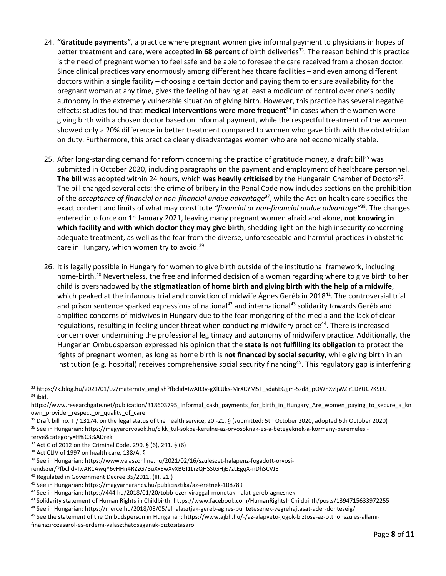- 24. **"Gratitude payments"**, <sup>a</sup> practice where pregnant women give informal payment to physicians in hopes of better treatment and care, were accepted **in 68 percent** of birth deliveries 33 . The reason behind this practice is the need of pregnant women to feel safe and be able to foresee the care received from <sup>a</sup> chosen doctor. Since clinical practices vary enormously among different healthcare facilities – and even among different doctors within <sup>a</sup> single facility – choosing <sup>a</sup> certain doctor and paying them to ensure availability for the pregnant woman at any time, gives the feeling of having at least <sup>a</sup> modicum of control over one'<sup>s</sup> bodily autonomy in the extremely vulnerable situation of giving birth. However, this practice has several negative effects: studies found that **medical interventions were more frequent** 34 in cases when the women were giving birth with <sup>a</sup> chosen doctor based on informal payment, while the respectful treatment of the women showed only <sup>a</sup> 20% difference in better treatment compared to women who gave birth with the obstetrician on duty. Furthermore, this practice clearly disadvantages women who are not economically stable.
- 25. After long-standing demand for reform concerning the practice of gratitude money, a draft bill<sup>35</sup> was submitted in October 2020, including paragraphs on the payment and employment of healthcare personnel. **The bill** was adopted within 24 hours, which **was heavily criticised** by the Hungarain Chamber of Doctors 36 . The bill changed several acts: the crime of bribery in the Penal Code now includes sections on the prohibition of the *acceptance of financial or non-financial undue advantage* 37 , while the Act on health care specifies the exact content and limits of what may constitute *"financial or non-financial undue advantage"* 38 . The changes entered into force on 1<sup>st</sup> January 2021, leaving many pregnant women afraid and alone, **not knowing in which facility and with which doctor they may give birth**, shedding light on the high insecurity concerning adequate treatment, as well as the fear from the diverse, unforeseeable and harmful practices in obstetric care in Hungary, which women try to avoid.<sup>39</sup>
- 26. It is legally possible in Hungary for women to give birth outside of the institutional framework, including home-birth.<sup>40</sup> Nevertheless, the free and informed decision of a woman regarding where to give birth to her child is overshadowed by the **stigmatization of home birth and giving birth with the help of <sup>a</sup> midwife**, which peaked at the infamous trial and conviction of midwife Ágnes Geréb in 2018<sup>41</sup>. The controversial trial and prison sentence sparked expressions of national<sup>42</sup> and international<sup>43</sup> solidarity towards Geréb and amplified concerns of midwives in Hungary due to the fear mongering of the media and the lack of clear regulations, resulting in feeling under threat when conducting midwifery practice<sup>44</sup>. There is increased concern over undermining the professional legitimacy and autonomy of midwifery practice. Additionally, the Hungarian Ombudsperson expressed his opinion that the **state is not fulfilling its obligation** to protect the rights of pregnant women, as long as home birth is **not financed by social security,** while giving birth in an institution (e.g. hospital) receives comprehensive social security financing 45 . This regulatory gap is interfering

<sup>35</sup> Draft bill no. T / 13174. on the legal status of the health service, 20.-21. § (submitted: 5th October 2020, adopted 6th October 2020)

<sup>37</sup> Act C of 2012 on the Criminal Code, 290. § (6), 291. § (6)

- <sup>39</sup> See in Hungarian: [https://www.valaszonline.hu/2021/02/16/szuleszet-halapenz-fogadott-orvosi-](https://www.valaszonline.hu/2021/02/16/szuleszet-halapenz-fogadott-orvosi-rendszer/?fbclid=IwAR1AwqY6vHHn4RZzG78uXxEwXyXBGI1LrzQHSStGHjE7zLEgqX-nDhSCVJE)
- [rendszer/?fbclid=IwAR1AwqY6vHHn4RZzG78uXxEwXyXBGI1LrzQHSStGHjE7zLEgqX-nDhSCVJE](https://www.valaszonline.hu/2021/02/16/szuleszet-halapenz-fogadott-orvosi-rendszer/?fbclid=IwAR1AwqY6vHHn4RZzG78uXxEwXyXBGI1LrzQHSStGHjE7zLEgqX-nDhSCVJE)
- 40 Regulated in Government Decree 35/2011. (III. 21.)

<sup>33</sup> [https://k.blog.hu/2021/01/02/maternity\\_english?fbclid=IwAR3v-gXlLUks-MrXCYM5T\\_sda6EGjjm-5sd8\\_pOWhXvIjWZlr1DYUG7KSEU](https://k.blog.hu/2021/01/02/maternity_english?fbclid=IwAR3v-gXlLUks-MrXCYM5T_sda6EGjjm-5sd8_pOWhXvIjWZlr1DYUG7KSEU) 34 ibid,

https://www.researchgate.net/publication/318603795 Informal cash\_payments\_for\_birth\_in\_Hungary\_Are\_women\_paying\_to\_secure\_a\_kn [own\\_provider\\_respect\\_or\\_quality\\_of\\_care](https://www.researchgate.net/publication/318603795_Informal_cash_payments_for_birth_in_Hungary_Are_women_paying_to_secure_a_known_provider_respect_or_quality_of_care)

<sup>&</sup>lt;sup>36</sup> See in Hungarian: [https://magyarorvosok.hu/cikk\\_tul-sokba-kerulne-az-orvosoknak-es-a-betegeknek-a-kormany-beremelesi](https://magyarorvosok.hu/cikk_tul-sokba-kerulne-az-orvosoknak-es-a-betegeknek-a-kormany-beremelesi-terve&category=H%C3%ADrek)[terve&category=H%C3%ADrek](https://magyarorvosok.hu/cikk_tul-sokba-kerulne-az-orvosoknak-es-a-betegeknek-a-kormany-beremelesi-terve&category=H%C3%ADrek)

<sup>38</sup> Act CLIV of 1997 on health care, 138/A. §

<sup>41</sup> See in Hungarian: <https://magyarnarancs.hu/publicisztika/az-eretnek-108789>

 $^{42}$  See in Hungarian: <https://444.hu/2018/01/20/tobb-ezer-viraggal-mondtak-halat-gereb-agnesnek>

<sup>43</sup> Solidarity statement of Human Rights in Childbirth: <https://www.facebook.com/HumanRightsInChildbirth/posts/1394715633972255>

<sup>44</sup> See in Hungarian: <https://merce.hu/2018/03/05/elhalasztjak-gereb-agnes-buntetesenek-vegrehajtasat-ader-donteseig/>

<sup>&</sup>lt;sup>45</sup> See the statement of the Ombudsperson in Hungarian: [https://www.ajbh.hu/-/az-alapveto-jogok-biztosa-az-otthonszules-allami](https://www.ajbh.hu/-/az-alapveto-jogok-biztosa-az-otthonszules-allami-finanszirozasarol-es-erdemi-valaszthatosaganak-biztositasarol)[finanszirozasarol-es-erdemi-valaszthatosaganak-biztositasarol](https://www.ajbh.hu/-/az-alapveto-jogok-biztosa-az-otthonszules-allami-finanszirozasarol-es-erdemi-valaszthatosaganak-biztositasarol)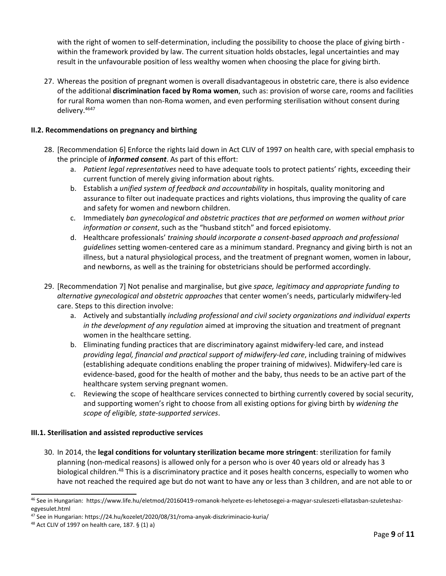with the right of women to self-determination, including the possibility to choose the place of giving birth within the framework provided by law. The current situation holds obstacles, legal uncertainties and may result in the unfavourable position of less wealthy women when choosing the place for giving birth.

27. Whereas the position of pregnant women is overall disadvantageous in obstetric care, there is also evidence of the additional **discrimination faced by Roma women**, such as: provision of worse care, rooms and facilities for rural Roma women than non-Roma women, and even performing sterilisation without consent during delivery.<sup>4647</sup>

## **II.2. Recommendations on pregnancy and birthing**

- 28. [Recommendation 6] Enforce the rights laid down in Act CLIV of 1997 on health care, with special emphasis to the principle of *informed consent*. As part of this effort:
	- a. *Patient legal representatives* need to have adequate tools to protect patients' rights, exceeding their current function of merely giving information about rights.
	- b. Establish <sup>a</sup> *unified system of feedback and accountability* in hospitals, quality monitoring and assurance to filter out inadequate practices and rights violations, thus improving the quality of care and safety for women and newborn children.
	- c. Immediately *ban gynecological and obstetric practices that are performed on women without prior information or consent*, such as the "husband stitch" and forced episiotomy.
	- d. Healthcare professionals' *training should incorporate <sup>a</sup> consent-based approach and professional guidelines* setting women-centered care as <sup>a</sup> minimum standard. Pregnancy and giving birth is not an illness, but <sup>a</sup> natural physiological process, and the treatment of pregnant women, women in labour, and newborns, as well as the training for obstetricians should be performed accordingly.
- 29. [Recommendation 7] Not penalise and marginalise, but give *space, legitimacy and appropriate funding to alternative gynecological and obstetric approaches* that center women'<sup>s</sup> needs, particularly midwifery-led care. Steps to this direction involve:
	- a. Actively and substantially *including professional and civil society organizations and individual experts in the development of any regulation* aimed at improving the situation and treatment of pregnant women in the healthcare setting.
	- b. Eliminating funding practices that are discriminatory against midwifery-led care, and instead *providing legal, financial and practical support of midwifery-led care*, including training of midwives (establishing adequate conditions enabling the proper training of midwives). Midwifery-led care is evidence-based, good for the health of mother and the baby, thus needs to be an active part of the healthcare system serving pregnant women.
	- c. Reviewing the scope of healthcare services connected to birthing currently covered by social security, and supporting women'<sup>s</sup> right to choose from all existing options for giving birth by *widening the scope of eligible, state-supported services*.

### **III.1. Sterilisation and assisted reproductive services**

30. In 2014, the **legal conditions for voluntary sterilization became more stringent**: sterilization for family planning (non-medical reasons) is allowed only for <sup>a</sup> person who is over 40 years old or already has 3 biological children.<sup>48</sup> This is a discriminatory practice and it poses health concerns, especially to women who have not reached the required age but do not want to have any or less than 3 children, and are not able to or

<sup>46</sup> See in Hungarian: [https://www.life.hu/eletmod/20160419-romanok-helyzete-es-lehetosegei-a-magyar-szuleszeti-ellatasban-szuleteshaz](https://www.life.hu/eletmod/20160419-romanok-helyzete-es-lehetosegei-a-magyar-szuleszeti-ellatasban-szuleteshaz-egyesulet.html)[egyesulet.html](https://www.life.hu/eletmod/20160419-romanok-helyzete-es-lehetosegei-a-magyar-szuleszeti-ellatasban-szuleteshaz-egyesulet.html)

<sup>47</sup> See in Hungarian: <https://24.hu/kozelet/2020/08/31/roma-anyak-diszkriminacio-kuria/>

<sup>48</sup> Act CLIV of 1997 on health care, 187. § (1) a)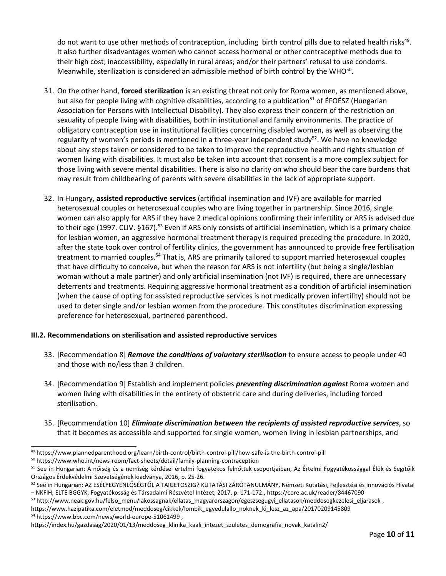do not want to use other methods of contraception, including birth control pills due to related health risks<sup>49</sup>. It also further disadvantages women who cannot access hormonal or other contraceptive methods due to their high cost; inaccessibility, especially in rural areas; and/or their partners' refusal to use condoms. Meanwhile, sterilization is considered an admissible method of birth control by the WHO $^{\rm 50}$ .

- 31. On the other hand, **forced sterilization** is an existing threat not only for Roma women, as mentioned above, but also for people living with cognitive disabilities, according to a publication<sup>51</sup> of ÉFOÉSZ (Hungarian Association for Persons with Intellectual Disability). They also express their concern of the restriction on sexuality of people living with disabilities, both in institutional and family environments. The practice of obligatory contraception use in institutional facilities concerning disabled women, as well as observing the regularity of women's periods is mentioned in a three-year independent study<sup>52</sup>. We have no knowledge about any steps taken or considered to be taken to improve the reproductive health and rights situation of women living with disabilities. It must also be taken into account that consent is <sup>a</sup> more complex subject for those living with severe mental disabilities. There is also no clarity on who should bear the care burdens that may result from childbearing of parents with severe disabilities in the lack of appropriate support.
- 32. In Hungary, **assisted reproductive services** (artificial insemination and IVF) are available for married heterosexual couples or heterosexual couples who are living together in partnership. Since 2016, single women can also apply for ARS if they have 2 medical opinions confirming their infertility or ARS is advised due to their age (1997. CLIV. §167).<sup>53</sup> Even if ARS only consists of artificial insemination, which is a primary choice for lesbian women, an aggressive hormonal treatment therapy is required preceding the procedure. In 2020, after the state took over control of fertility clinics, the government has announced to provide free fertilisation treatment to married couples.<sup>54</sup> That is, ARS are primarily tailored to support married heterosexual couples that have difficulty to conceive, but when the reason for ARS is not infertility (but being <sup>a</sup> single/lesbian woman without <sup>a</sup> male partner) and only artificial insemination (not IVF) is required, there are unnecessary deterrents and treatments. Requiring aggressive hormonal treatment as <sup>a</sup> condition of artificial insemination (when the cause of opting for assisted reproductive services is not medically proven infertility) should not be used to deter single and/or lesbian women from the procedure. This constitutes discrimination expressing preference for heterosexual, partnered parenthood.

### **III.2. Recommendations on sterilisation and assisted reproductive services**

- 33. [Recommendation 8] *Remove the conditions of voluntary sterilisation* to ensure access to people under 40 and those with no/less than 3 children.
- 34. [Recommendation 9] Establish and implement policies *preventing discrimination against* Roma women and women living with disabilities in the entirety of obstetric care and during deliveries, including forced sterilisation.
- 35. [Recommendation 10] *Eliminate discrimination between the recipients of assisted reproductive services*, so that it becomes as accessible and supported for single women, women living in lesbian partnerships, and

54 <https://www.bbc.com/news/world-europe-51061499> ,

<sup>49</sup> <https://www.plannedparenthood.org/learn/birth-control/birth-control-pill/how-safe-is-the-birth-control-pill>

<sup>&</sup>lt;sup>50</sup> <https://www.who.int/news-room/fact-sheets/detail/family-planning-contraception>

<sup>&</sup>lt;sup>51</sup> See in Hungarian: A nőiség és a nemiség kérdései értelmi fogyatékos felnőttek csoportjaiban, Az Értelmi Fogyatékossággal Élők és Segítőik Országos Érdekvédelmi Szövetségének kiadványa, 2016, p. 25-26.

<sup>&</sup>lt;sup>52</sup> See in Hungarian: AZ ESÉLYEGYENLŐSÉGTŐL A TAIGETOSZIG? KUTATÁSI ZÁRÓTANULMÁNY, Nemzeti Kutatási, Fejlesztési és Innovációs Hivatal – NKFIH, ELTE BGGYK, Fogyatékosság és Társadalmi Részvétel Intézet, 2017, p. 171-172., <https://core.ac.uk/reader/84467090>

<sup>&</sup>lt;sup>53</sup> [http://www.neak.gov.hu/felso\\_menu/lakossagnak/ellatas\\_magyarorszagon/egeszsegugyi\\_ellatasok/meddosegkezelesi\\_eljarasok](http://www.neak.gov.hu/felso_menu/lakossagnak/ellatas_magyarorszagon/egeszsegugyi_ellatasok/meddosegkezelesi_eljarasok) , https://www.hazipatika.com/eletmod/meddoseg/cikkek/lombik egyedulallo noknek ki lesz az apa/20170209145809

[https://index.hu/gazdasag/2020/01/13/meddoseg\\_klinika\\_kaali\\_intezet\\_szuletes\\_demografia\\_novak\\_katalin2/](https://index.hu/gazdasag/2020/01/13/meddoseg_klinika_kaali_intezet_szuletes_demografia_novak_katalin2/)